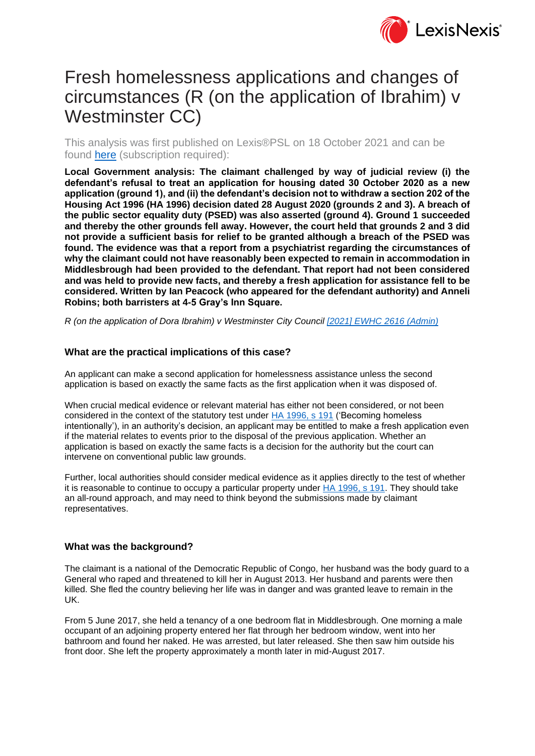

# Fresh homelessness applications and changes of circumstances (R (on the application of Ibrahim) v Westminster CC)

This analysis was first published on Lexis®PSL on 18 October 2021 and can be found [here](https://www.lexisnexis.com/uk/lexispsl/localgovernment/document/412012/63W6-JDR3-GXF6-83SF-00000-00/Fresh%20homelessness%20applications%20and%20changes%20of%20circumstances%20(R%20(on%20the%20application%20of%20Ibrahim)%20v%20Westminster%20CC)) (subscription required):

**Local Government analysis: The claimant challenged by way of judicial review (i) the defendant's refusal to treat an application for housing dated 30 October 2020 as a new application (ground 1), and (ii) the defendant's decision not to withdraw a section 202 of the Housing Act 1996 (HA 1996) decision dated 28 August 2020 (grounds 2 and 3). A breach of the public sector equality duty (PSED) was also asserted (ground 4). Ground 1 succeeded and thereby the other grounds fell away. However, the court held that grounds 2 and 3 did not provide a sufficient basis for relief to be granted although a breach of the PSED was found. The evidence was that a report from a psychiatrist regarding the circumstances of why the claimant could not have reasonably been expected to remain in accommodation in Middlesbrough had been provided to the defendant. That report had not been considered and was held to provide new facts, and thereby a fresh application for assistance fell to be considered. Written by Ian Peacock (who appeared for the defendant authority) and Anneli Robins; both barristers at 4-5 Gray's Inn Square.**

*R (on the application of Dora Ibrahim) v Westminster City Council [2021] EWHC 2616 [\(Admin\)](https://www.lexisnexis.com/uk/lexispsl/localgovernment/document/412012/63W6-JDR3-GXF6-83SF-00000-00/linkHandler.faces?psldocinfo=Fresh_homelessness_applications_and_changes_of_circumstances__R__on_the_application_of_Ibrahim__v_Westminster_CC_&linkInfo=F%23GB%23EWHCADMIN%23sel1%252021%25year%252021%25page%252616%25&A=0.27877862458966607&bct=A&risb=&service=citation&langcountry=GB)*

### **What are the practical implications of this case?**

An applicant can make a second application for homelessness assistance unless the second application is based on exactly the same facts as the first application when it was disposed of.

When crucial medical evidence or relevant material has either not been considered, or not been considered in the context of the statutory test under [HA 1996, s 191](https://www.lexisnexis.com/uk/lexispsl/localgovernment/document/412012/63W6-JDR3-GXF6-83SF-00000-00/linkHandler.faces?psldocinfo=Fresh_homelessness_applications_and_changes_of_circumstances__R__on_the_application_of_Ibrahim__v_Westminster_CC_&linkInfo=F%23GB%23UK_LEG%23num%251996_52a_SECT_191%25&A=0.783216805304523&bct=A&risb=&service=citation&langcountry=GB) ('Becoming homeless intentionally'), in an authority's decision, an applicant may be entitled to make a fresh application even if the material relates to events prior to the disposal of the previous application. Whether an application is based on exactly the same facts is a decision for the authority but the court can intervene on conventional public law grounds.

Further, local authorities should consider medical evidence as it applies directly to the test of whether it is reasonable to continue to occupy a particular property under [HA 1996, s 191.](https://www.lexisnexis.com/uk/lexispsl/localgovernment/document/412012/63W6-JDR3-GXF6-83SF-00000-00/linkHandler.faces?psldocinfo=Fresh_homelessness_applications_and_changes_of_circumstances__R__on_the_application_of_Ibrahim__v_Westminster_CC_&linkInfo=F%23GB%23UK_LEG%23num%251996_52a_SECT_191%25&A=0.7444078086355244&bct=A&risb=&service=citation&langcountry=GB) They should take an all-round approach, and may need to think beyond the submissions made by claimant representatives.

#### **What was the background?**

The claimant is a national of the Democratic Republic of Congo, her husband was the body guard to a General who raped and threatened to kill her in August 2013. Her husband and parents were then killed. She fled the country believing her life was in danger and was granted leave to remain in the UK.

From 5 June 2017, she held a tenancy of a one bedroom flat in Middlesbrough. One morning a male occupant of an adjoining property entered her flat through her bedroom window, went into her bathroom and found her naked. He was arrested, but later released. She then saw him outside his front door. She left the property approximately a month later in mid-August 2017.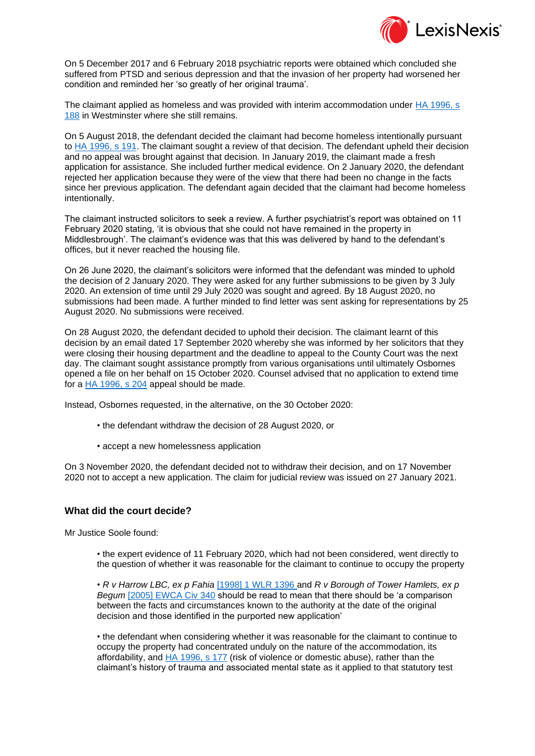

On 5 December 2017 and 6 February 2018 psychiatric reports were obtained which concluded she suffered from PTSD and serious depression and that the invasion of her property had worsened her condition and reminded her 'so greatly of her original trauma'.

The claimant applied as homeless and was provided with interim accommodation under [HA 1996, s](https://www.lexisnexis.com/uk/lexispsl/localgovernment/document/412012/63W6-JDR3-GXF6-83SF-00000-00/linkHandler.faces?psldocinfo=Fresh_homelessness_applications_and_changes_of_circumstances__R__on_the_application_of_Ibrahim__v_Westminster_CC_&linkInfo=F%23GB%23UK_LEG%23num%251996_52a_SECT_188%25&A=0.42328325166247016&bct=A&risb=&service=citation&langcountry=GB)  [188](https://www.lexisnexis.com/uk/lexispsl/localgovernment/document/412012/63W6-JDR3-GXF6-83SF-00000-00/linkHandler.faces?psldocinfo=Fresh_homelessness_applications_and_changes_of_circumstances__R__on_the_application_of_Ibrahim__v_Westminster_CC_&linkInfo=F%23GB%23UK_LEG%23num%251996_52a_SECT_188%25&A=0.42328325166247016&bct=A&risb=&service=citation&langcountry=GB) in Westminster where she still remains.

On 5 August 2018, the defendant decided the claimant had become homeless intentionally pursuant to [HA 1996, s 191.](https://www.lexisnexis.com/uk/lexispsl/localgovernment/document/412012/63W6-JDR3-GXF6-83SF-00000-00/linkHandler.faces?psldocinfo=Fresh_homelessness_applications_and_changes_of_circumstances__R__on_the_application_of_Ibrahim__v_Westminster_CC_&linkInfo=F%23GB%23UK_LEG%23num%251996_52a_SECT_191%25&A=0.35152157282958363&bct=A&risb=&service=citation&langcountry=GB) The claimant sought a review of that decision. The defendant upheld their decision and no appeal was brought against that decision. In January 2019, the claimant made a fresh application for assistance. She included further medical evidence. On 2 January 2020, the defendant rejected her application because they were of the view that there had been no change in the facts since her previous application. The defendant again decided that the claimant had become homeless intentionally.

The claimant instructed solicitors to seek a review. A further psychiatrist's report was obtained on 11 February 2020 stating, 'it is obvious that she could not have remained in the property in Middlesbrough'. The claimant's evidence was that this was delivered by hand to the defendant's offices, but it never reached the housing file.

On 26 June 2020, the claimant's solicitors were informed that the defendant was minded to uphold the decision of 2 January 2020. They were asked for any further submissions to be given by 3 July 2020. An extension of time until 29 July 2020 was sought and agreed. By 18 August 2020, no submissions had been made. A further minded to find letter was sent asking for representations by 25 August 2020. No submissions were received.

On 28 August 2020, the defendant decided to uphold their decision. The claimant learnt of this decision by an email dated 17 September 2020 whereby she was informed by her solicitors that they were closing their housing department and the deadline to appeal to the County Court was the next day. The claimant sought assistance promptly from various organisations until ultimately Osbornes opened a file on her behalf on 15 October 2020. Counsel advised that no application to extend time for a [HA 1996, s 204](https://www.lexisnexis.com/uk/lexispsl/localgovernment/document/412012/63W6-JDR3-GXF6-83SF-00000-00/linkHandler.faces?psldocinfo=Fresh_homelessness_applications_and_changes_of_circumstances__R__on_the_application_of_Ibrahim__v_Westminster_CC_&linkInfo=F%23GB%23UK_LEG%23num%251996_52a_SECT_204%25&A=0.26568246124746153&bct=A&risb=&service=citation&langcountry=GB) appeal should be made.

Instead, Osbornes requested, in the alternative, on the 30 October 2020:

- the defendant withdraw the decision of 28 August 2020, or
- accept a new homelessness application

On 3 November 2020, the defendant decided not to withdraw their decision, and on 17 November 2020 not to accept a new application. The claim for judicial review was issued on 27 January 2021.

#### **What did the court decide?**

Mr Justice Soole found:

• the expert evidence of 11 February 2020, which had not been considered, went directly to the question of whether it was reasonable for the claimant to continue to occupy the property

• *R v Harrow LBC, ex p Fahia* [\[1998\] 1 WLR 1396](https://www.lexisnexis.com/uk/lexispsl/localgovernment/document/412012/63W6-JDR3-GXF6-83SF-00000-00/linkHandler.faces?psldocinfo=Fresh_homelessness_applications_and_changes_of_circumstances__R__on_the_application_of_Ibrahim__v_Westminster_CC_&linkInfo=F%23GB%23WLR%23sel1%251998%25vol%251%25year%251998%25page%251396%25sel2%251%25&A=0.08095876165106042&bct=A&risb=&service=citation&langcountry=GB) and *R v Borough of Tower Hamlets, ex p Begum* [\[2005\] EWCA Civ 340](https://www.lexisnexis.com/uk/lexispsl/localgovernment/document/412012/63W6-JDR3-GXF6-83SF-00000-00/linkHandler.faces?psldocinfo=Fresh_homelessness_applications_and_changes_of_circumstances__R__on_the_application_of_Ibrahim__v_Westminster_CC_&linkInfo=F%23GB%23EWCACIV%23sel1%252005%25year%252005%25page%25340%25&A=0.2420681902437768&bct=A&risb=&service=citation&langcountry=GB) should be read to mean that there should be 'a comparison between the facts and circumstances known to the authority at the date of the original decision and those identified in the purported new application'

• the defendant when considering whether it was reasonable for the claimant to continue to occupy the property had concentrated unduly on the nature of the accommodation, its affordability, and [HA 1996, s 177](https://www.lexisnexis.com/uk/lexispsl/localgovernment/document/412012/63W6-JDR3-GXF6-83SF-00000-00/linkHandler.faces?psldocinfo=Fresh_homelessness_applications_and_changes_of_circumstances__R__on_the_application_of_Ibrahim__v_Westminster_CC_&linkInfo=F%23GB%23UK_LEG%23num%251996_52a_SECT_177%25&A=0.5221151551289595&bct=A&risb=&service=citation&langcountry=GB) (risk of violence or domestic abuse), rather than the claimant's history of trauma and associated mental state as it applied to that statutory test